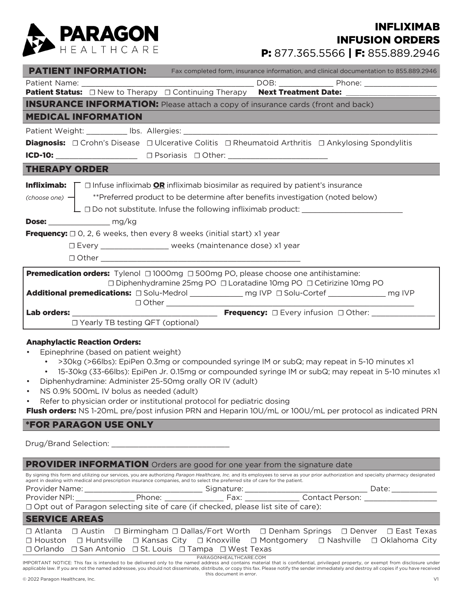

# P: 877.365.5566 | F: 855.889.2946 INFLIXIMAB INFUSION ORDERS

|                                                                                                                                                                                                                                                                                                                                                                                                                       | <b>PATIENT INFORMATION:</b> Fax completed form, insurance information, and clinical documentation to 855.889.2946                                                                                                                                                                         |  |  |  |  |
|-----------------------------------------------------------------------------------------------------------------------------------------------------------------------------------------------------------------------------------------------------------------------------------------------------------------------------------------------------------------------------------------------------------------------|-------------------------------------------------------------------------------------------------------------------------------------------------------------------------------------------------------------------------------------------------------------------------------------------|--|--|--|--|
|                                                                                                                                                                                                                                                                                                                                                                                                                       |                                                                                                                                                                                                                                                                                           |  |  |  |  |
|                                                                                                                                                                                                                                                                                                                                                                                                                       | <b>Patient Status:</b> □ New to Therapy □ Continuing Therapy Next Treatment Date: ______________________                                                                                                                                                                                  |  |  |  |  |
| <b>INSURANCE INFORMATION:</b> Please attach a copy of insurance cards (front and back)                                                                                                                                                                                                                                                                                                                                |                                                                                                                                                                                                                                                                                           |  |  |  |  |
| <b>MEDICAL INFORMATION</b>                                                                                                                                                                                                                                                                                                                                                                                            |                                                                                                                                                                                                                                                                                           |  |  |  |  |
|                                                                                                                                                                                                                                                                                                                                                                                                                       |                                                                                                                                                                                                                                                                                           |  |  |  |  |
| <b>Diagnosis:</b> $\Box$ Crohn's Disease $\Box$ Ulcerative Colitis $\Box$ Rheumatoid Arthritis $\Box$ Ankylosing Spondylitis                                                                                                                                                                                                                                                                                          |                                                                                                                                                                                                                                                                                           |  |  |  |  |
|                                                                                                                                                                                                                                                                                                                                                                                                                       |                                                                                                                                                                                                                                                                                           |  |  |  |  |
| <b>THERAPY ORDER</b>                                                                                                                                                                                                                                                                                                                                                                                                  |                                                                                                                                                                                                                                                                                           |  |  |  |  |
| <b>Infliximab:</b> $\Gamma$ $\Box$ Infuse infliximab <b>OR</b> infliximab biosimilar as required by patient's insurance<br>(choose one) $-$ <sup>**</sup> Preferred product to be determine after benefits investigation (noted below)<br><b>Dose:</b> $mg/kg$<br><b>Frequency:</b> $\Box$ O, 2, 6 weeks, then every 8 weeks (initial start) x1 year<br>□ Every ____________________ weeks (maintenance dose) x1 year |                                                                                                                                                                                                                                                                                           |  |  |  |  |
|                                                                                                                                                                                                                                                                                                                                                                                                                       | <b>Premedication orders:</b> Tylenol $\Box$ 1000mg $\Box$ 500mg PO, please choose one antihistamine:<br>□ Diphenhydramine 25mg PO □ Loratadine 10mg PO □ Cetirizine 10mg PO<br>Additional premedications: $\Box$ Solu-Medrol _____________ mg IVP $\Box$ Solu-Cortef _____________ mg IVP |  |  |  |  |
| $\Box$ Yearly TB testing QFT (optional)                                                                                                                                                                                                                                                                                                                                                                               |                                                                                                                                                                                                                                                                                           |  |  |  |  |

#### Anaphylactic Reaction Orders:

- Epinephrine (based on patient weight)
	- >30kg (>66lbs): EpiPen 0.3mg or compounded syringe IM or subQ; may repeat in 5-10 minutes x1
	- 15-30kg (33-66lbs): EpiPen Jr. 0.15mg or compounded syringe IM or subQ; may repeat in 5-10 minutes x1
- Diphenhydramine: Administer 25-50mg orally OR IV (adult)
- NS 0.9% 500mL IV bolus as needed (adult)
- Refer to physician order or institutional protocol for pediatric dosing

Flush orders: NS 1-20mL pre/post infusion PRN and Heparin 10U/mL or 100U/mL per protocol as indicated PRN

### \*FOR PARAGON USE ONLY

Drug/Brand Selection: \_\_\_\_\_\_\_\_\_\_\_\_\_\_\_\_\_\_\_\_\_\_\_\_\_\_

| <b>PROVIDER INFORMATION</b> Orders are good for one year from the signature date                                                                                                                                                                                                                                        |                                                                                                                                                                                  |                       |  |                      |  |  |
|-------------------------------------------------------------------------------------------------------------------------------------------------------------------------------------------------------------------------------------------------------------------------------------------------------------------------|----------------------------------------------------------------------------------------------------------------------------------------------------------------------------------|-----------------------|--|----------------------|--|--|
| By signing this form and utilizing our services, you are authorizing Paragon Healthcare, Inc. and its employees to serve as your prior authorization and specialty pharmacy designated<br>agent in dealing with medical and prescription insurance companies, and to select the preferred site of care for the patient. |                                                                                                                                                                                  |                       |  |                      |  |  |
|                                                                                                                                                                                                                                                                                                                         |                                                                                                                                                                                  |                       |  | Date: ______________ |  |  |
|                                                                                                                                                                                                                                                                                                                         |                                                                                                                                                                                  |                       |  |                      |  |  |
| □ Opt out of Paragon selecting site of care (if checked, please list site of care):                                                                                                                                                                                                                                     |                                                                                                                                                                                  |                       |  |                      |  |  |
| <b>SERVICE AREAS</b>                                                                                                                                                                                                                                                                                                    |                                                                                                                                                                                  |                       |  |                      |  |  |
|                                                                                                                                                                                                                                                                                                                         | □ Atlanta □ Austin □ Birmingham □ Dallas/Fort Worth □ Denham Springs □ Denver □ East Texas                                                                                       |                       |  |                      |  |  |
|                                                                                                                                                                                                                                                                                                                         | □ Houston □ Huntsville □ Kansas City □ Knoxville □ Montgomery □ Nashville □ Oklahoma City                                                                                        |                       |  |                      |  |  |
|                                                                                                                                                                                                                                                                                                                         | $\Box$ Orlando $\Box$ San Antonio $\Box$ St. Louis $\Box$ Tampa $\Box$ West Texas                                                                                                |                       |  |                      |  |  |
|                                                                                                                                                                                                                                                                                                                         | IMPORTANT NOTICE: This fay is intended to be delivered only to the named address and contains material that is confidential privileged property, or exempt from disclosure under | PARAGONHEALTHCARE.COM |  |                      |  |  |

IMPORTANT NOTICE: This fax is intended to be delivered only to the named address and contains material that is confidential, privileged property, or exempt from disclosure under applicable law. If you are not the named addressee, you should not disseminate, distribute, or copy this fax. Please notify the sender immediately and destroy all copies if you have received this document in error.